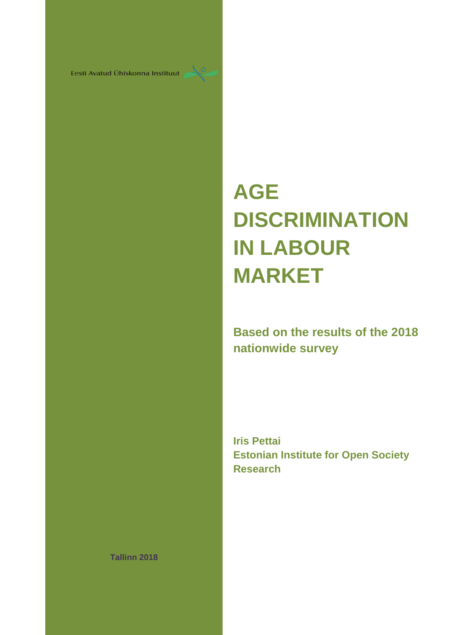Eesti Avatud Ühiskonna Instituut

# **AGE DISCRIMINATION IN LABOUR MARKET**

### **Based on the results of the 2018 nationwide survey**

**Iris Pettai Estonian Institute for Open Society Research**

**Tallinn 2018**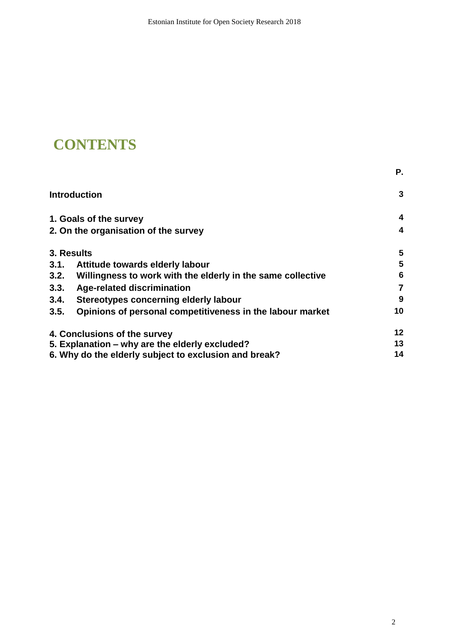## **CONTENTS**

|      |                                                                                                                                                                                                                                                | Р. |
|------|------------------------------------------------------------------------------------------------------------------------------------------------------------------------------------------------------------------------------------------------|----|
|      |                                                                                                                                                                                                                                                | 3  |
|      |                                                                                                                                                                                                                                                | 4  |
|      |                                                                                                                                                                                                                                                | 4  |
|      |                                                                                                                                                                                                                                                | 5  |
| 3.1. | Attitude towards elderly labour                                                                                                                                                                                                                | 5  |
| 3.2. | Willingness to work with the elderly in the same collective                                                                                                                                                                                    | 6  |
| 3.3. | <b>Age-related discrimination</b>                                                                                                                                                                                                              | 7  |
| 3.4. | Stereotypes concerning elderly labour                                                                                                                                                                                                          | 9  |
| 3.5. | Opinions of personal competitiveness in the labour market                                                                                                                                                                                      | 10 |
|      | <b>Introduction</b><br>1. Goals of the survey<br>2. On the organisation of the survey<br>3. Results<br>4. Conclusions of the survey<br>5. Explanation – why are the elderly excluded?<br>6. Why do the elderly subject to exclusion and break? |    |
|      |                                                                                                                                                                                                                                                | 13 |
|      |                                                                                                                                                                                                                                                | 14 |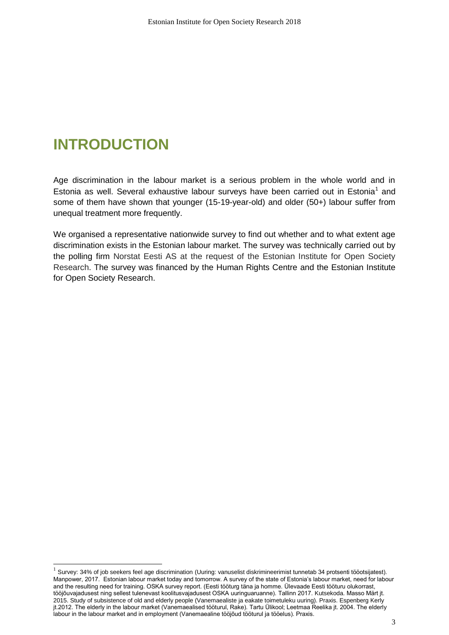## **INTRODUCTION**

1

Age discrimination in the labour market is a serious problem in the whole world and in Estonia as well. Several exhaustive labour surveys have been carried out in Estonia<sup>1</sup> and some of them have shown that younger (15-19-year-old) and older (50+) labour suffer from unequal treatment more frequently.

We organised a representative nationwide survey to find out whether and to what extent age discrimination exists in the Estonian labour market. The survey was technically carried out by the polling firm Norstat Eesti AS at the request of the Estonian Institute for Open Society Research. The survey was financed by the Human Rights Centre and the Estonian Institute for Open Society Research.

 $^1$  Survey: 34% of job seekers feel age discrimination (Uuring: vanuselist diskrimineerimist tunnetab 34 protsenti tööotsijatest). Manpower, 2017. Estonian labour market today and tomorrow. A survey of the state of Estonia's labour market, need for labour and the resulting need for training. OSKA survey report. (Eesti tööturg täna ja homme. Ülevaade Eesti tööturu olukorrast, tööjõuvajadusest ning sellest tulenevast koolitusvajadusest OSKA uuringuaruanne). Tallinn 2017. Kutsekoda. Masso Märt jt. 2015. Study of subsistence of old and elderly people (Vanemaealiste ja eakate toimetuleku uuring). Praxis. Espenberg Kerly jt.2012. The elderly in the labour market (Vanemaealised tööturul, Rake). Tartu Ülikool; Leetmaa Reelika jt. 2004. The elderly labour in the labour market and in employment (Vanemaealine tööjõud tööturul ja tööelus). Praxis.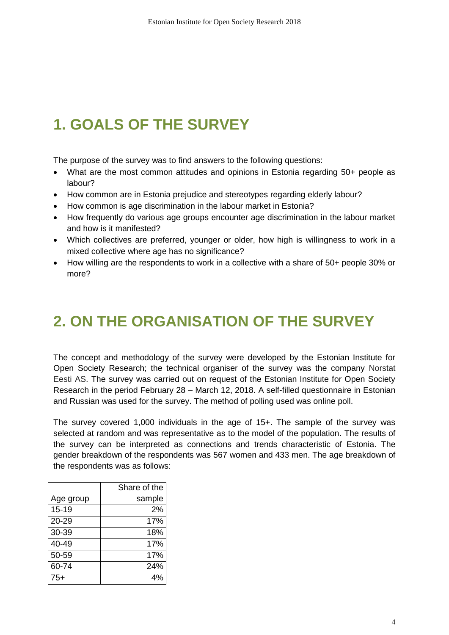# **1. GOALS OF THE SURVEY**

The purpose of the survey was to find answers to the following questions:

- What are the most common attitudes and opinions in Estonia regarding 50+ people as labour?
- How common are in Estonia prejudice and stereotypes regarding elderly labour?
- How common is age discrimination in the labour market in Estonia?
- How frequently do various age groups encounter age discrimination in the labour market and how is it manifested?
- Which collectives are preferred, younger or older, how high is willingness to work in a mixed collective where age has no significance?
- How willing are the respondents to work in a collective with a share of 50+ people 30% or more?

# **2. ON THE ORGANISATION OF THE SURVEY**

The concept and methodology of the survey were developed by the Estonian Institute for Open Society Research; the technical organiser of the survey was the company Norstat Eesti AS. The survey was carried out on request of the Estonian Institute for Open Society Research in the period February 28 – March 12, 2018. A self-filled questionnaire in Estonian and Russian was used for the survey. The method of polling used was online poll.

The survey covered 1,000 individuals in the age of 15+. The sample of the survey was selected at random and was representative as to the model of the population. The results of the survey can be interpreted as connections and trends characteristic of Estonia. The gender breakdown of the respondents was 567 women and 433 men. The age breakdown of the respondents was as follows:

|           | Share of the |
|-----------|--------------|
| Age group | sample       |
| $15 - 19$ | 2%           |
| 20-29     | 17%          |
| 30-39     | 18%          |
| 40-49     | 17%          |
| 50-59     | 17%          |
| 60-74     | 24%          |
| 75+       |              |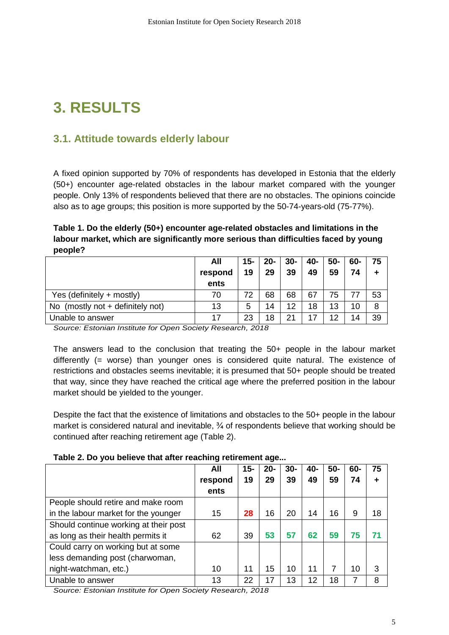# **3. RESULTS**

### **3.1. Attitude towards elderly labour**

A fixed opinion supported by 70% of respondents has developed in Estonia that the elderly (50+) encounter age-related obstacles in the labour market compared with the younger people. Only 13% of respondents believed that there are no obstacles. The opinions coincide also as to age groups; this position is more supported by the 50-74-years-old (75-77%).

**Table 1. Do the elderly (50+) encounter age-related obstacles and limitations in the labour market, which are significantly more serious than difficulties faced by young people?**

|                                    | All<br>respond<br>ents | $15-$<br>19 | $20 -$<br>29 | $30-$<br>39 | 40-<br>49 | $50-$<br>59 | 60-<br>74 | 75<br>٠ |
|------------------------------------|------------------------|-------------|--------------|-------------|-----------|-------------|-----------|---------|
| Yes (definitely + mostly)          | 70                     | 72          | 68           | 68          | 67        | 75          |           | 53      |
| No (mostly not $+$ definitely not) | 13                     | 5           | 14           | 12          | 18        | 13          | 10        | 8       |
| Unable to answer                   | 17                     | 23          | 18           | 21          |           | 12          | 14        | 39      |

*Source: Estonian Institute for Open Society Research, 2018*

The answers lead to the conclusion that treating the 50+ people in the labour market differently (= worse) than younger ones is considered quite natural. The existence of restrictions and obstacles seems inevitable; it is presumed that 50+ people should be treated that way, since they have reached the critical age where the preferred position in the labour market should be yielded to the younger.

Despite the fact that the existence of limitations and obstacles to the 50+ people in the labour market is considered natural and inevitable, ¾ of respondents believe that working should be continued after reaching retirement age (Table 2).

|                                       | All     | 15- | $20 -$ | $30 -$ | 40- | $50-$ | 60- | 75 |
|---------------------------------------|---------|-----|--------|--------|-----|-------|-----|----|
|                                       | respond | 19  | 29     | 39     | 49  | 59    | 74  | ٠  |
|                                       | ents    |     |        |        |     |       |     |    |
| People should retire and make room    |         |     |        |        |     |       |     |    |
| in the labour market for the younger  | 15      | 28  | 16     | 20     | 14  | 16    | 9   | 18 |
| Should continue working at their post |         |     |        |        |     |       |     |    |
| as long as their health permits it    | 62      | 39  | 53     | 57     | 62  | 59    | 75  | 71 |
| Could carry on working but at some    |         |     |        |        |     |       |     |    |
| less demanding post (charwoman,       |         |     |        |        |     |       |     |    |
| night-watchman, etc.)                 | 10      | 11  | 15     | 10     | 11  |       | 10  | 3  |
| Unable to answer                      | 13      | 22  | 17     | 13     | 12  | 18    | 7   | 8  |

*Source: Estonian Institute for Open Society Research, 2018*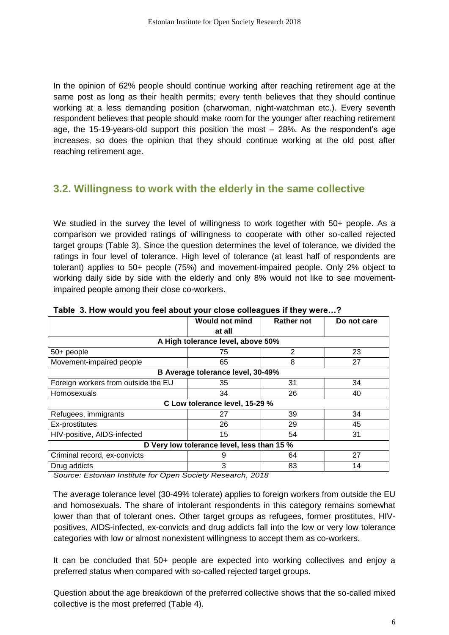In the opinion of 62% people should continue working after reaching retirement age at the same post as long as their health permits; every tenth believes that they should continue working at a less demanding position (charwoman, night-watchman etc.). Every seventh respondent believes that people should make room for the younger after reaching retirement age, the 15-19-years-old support this position the most – 28%. As the respondent's age increases, so does the opinion that they should continue working at the old post after reaching retirement age.

### **3.2. Willingness to work with the elderly in the same collective**

We studied in the survey the level of willingness to work together with 50+ people. As a comparison we provided ratings of willingness to cooperate with other so-called rejected target groups (Table 3). Since the question determines the level of tolerance, we divided the ratings in four level of tolerance. High level of tolerance (at least half of respondents are tolerant) applies to 50+ people (75%) and movement-impaired people. Only 2% object to working daily side by side with the elderly and only 8% would not like to see movementimpaired people among their close co-workers.

|                                            | <b>Would not mind</b>          | <b>Rather not</b> | Do not care |  |  |  |  |  |  |  |  |  |
|--------------------------------------------|--------------------------------|-------------------|-------------|--|--|--|--|--|--|--|--|--|
|                                            | at all                         |                   |             |  |  |  |  |  |  |  |  |  |
| A High tolerance level, above 50%          |                                |                   |             |  |  |  |  |  |  |  |  |  |
| 50+ people                                 | 75                             | 2                 | 23          |  |  |  |  |  |  |  |  |  |
| Movement-impaired people                   | 65                             | 8                 | 27          |  |  |  |  |  |  |  |  |  |
| B Average tolerance level, 30-49%          |                                |                   |             |  |  |  |  |  |  |  |  |  |
| Foreign workers from outside the EU        | 35                             | 31                | 34          |  |  |  |  |  |  |  |  |  |
| Homosexuals                                | 34                             | 26                | 40          |  |  |  |  |  |  |  |  |  |
|                                            | C Low tolerance level, 15-29 % |                   |             |  |  |  |  |  |  |  |  |  |
| Refugees, immigrants                       | 27                             | 39                | 34          |  |  |  |  |  |  |  |  |  |
| Ex-prostitutes                             | 26                             | 29                | 45          |  |  |  |  |  |  |  |  |  |
| HIV-positive, AIDS-infected                | 15                             | 54                | 31          |  |  |  |  |  |  |  |  |  |
| D Very low tolerance level, less than 15 % |                                |                   |             |  |  |  |  |  |  |  |  |  |
| Criminal record, ex-convicts               | 9                              | 64                | 27          |  |  |  |  |  |  |  |  |  |
| Drug addicts                               | 3                              | 83                | 14          |  |  |  |  |  |  |  |  |  |
|                                            |                                |                   |             |  |  |  |  |  |  |  |  |  |

**Table 3. How would you feel about your close colleagues if they were…?** 

*Source: Estonian Institute for Open Society Research, 2018*

The average tolerance level (30-49% tolerate) applies to foreign workers from outside the EU and homosexuals. The share of intolerant respondents in this category remains somewhat lower than that of tolerant ones. Other target groups as refugees, former prostitutes, HIVpositives, AIDS-infected, ex-convicts and drug addicts fall into the low or very low tolerance categories with low or almost nonexistent willingness to accept them as co-workers.

It can be concluded that 50+ people are expected into working collectives and enjoy a preferred status when compared with so-called rejected target groups.

Question about the age breakdown of the preferred collective shows that the so-called mixed collective is the most preferred (Table 4).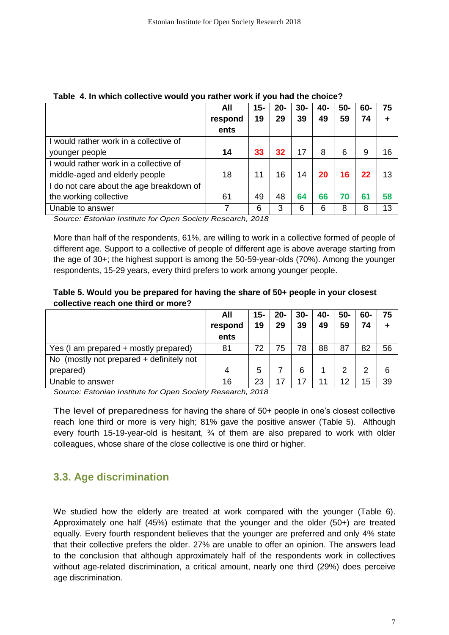|                                          | All     | $15 -$ | $20 -$ | $30-$ | 40- | 50- | 60- | 75 |
|------------------------------------------|---------|--------|--------|-------|-----|-----|-----|----|
|                                          | respond | 19     | 29     | 39    | 49  | 59  | 74  |    |
|                                          | ents    |        |        |       |     |     |     |    |
| I would rather work in a collective of   |         |        |        |       |     |     |     |    |
| younger people                           | 14      | 33     | 32     | 17    | 8   | 6   | 9   | 16 |
| I would rather work in a collective of   |         |        |        |       |     |     |     |    |
| middle-aged and elderly people           | 18      | 11     | 16     | 14    | 20  | 16  | 22  | 13 |
| I do not care about the age breakdown of |         |        |        |       |     |     |     |    |
| the working collective                   | 61      | 49     | 48     | 64    | 66  | 70  | 61  | 58 |
| Unable to answer                         | 7       | 6      | 3      | 6     | 6   | 8   | 8   | 13 |

#### **Table 4. In which collective would you rather work if you had the choice?**

*Source: Estonian Institute for Open Society Research, 2018*

More than half of the respondents, 61%, are willing to work in a collective formed of people of different age. Support to a collective of people of different age is above average starting from the age of 30+; the highest support is among the 50-59-year-olds (70%). Among the younger respondents, 15-29 years, every third prefers to work among younger people.

#### **Table 5. Would you be prepared for having the share of 50+ people in your closest collective reach one third or more?**

|                                          | All     | 15- | 20- | $30-$ | 40- | 50- | 60- | 75 |
|------------------------------------------|---------|-----|-----|-------|-----|-----|-----|----|
|                                          | respond | 19  | 29  | 39    | 49  | 59  | 74  | ٠  |
|                                          | ents    |     |     |       |     |     |     |    |
| Yes (I am prepared + mostly prepared)    | 81      | 72  | 75  | 78    | 88  | 87  | 82  | 56 |
| No (mostly not prepared + definitely not |         |     |     |       |     |     |     |    |
| prepared)                                | 4       | 5   |     | 6     |     | っ   | 2   | 6  |
| Unable to answer                         | 16      | 23  | 17  | 17    | л   | 12  | 15  | 39 |

*Source: Estonian Institute for Open Society Research, 2018*

The level of preparedness for having the share of 50+ people in one's closest collective reach lone third or more is very high; 81% gave the positive answer (Table 5). Although every fourth 15-19-year-old is hesitant,  $\frac{3}{4}$  of them are also prepared to work with older colleagues, whose share of the close collective is one third or higher.

### **3.3. Age discrimination**

We studied how the elderly are treated at work compared with the younger (Table 6). Approximately one half (45%) estimate that the younger and the older (50+) are treated equally. Every fourth respondent believes that the younger are preferred and only 4% state that their collective prefers the older. 27% are unable to offer an opinion. The answers lead to the conclusion that although approximately half of the respondents work in collectives without age-related discrimination, a critical amount, nearly one third (29%) does perceive age discrimination.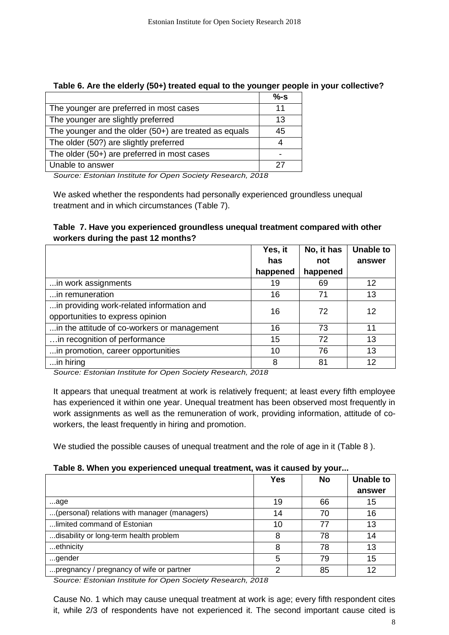|                                                         | %S |
|---------------------------------------------------------|----|
| The younger are preferred in most cases                 | 11 |
| The younger are slightly preferred                      | 13 |
| The younger and the older $(50+)$ are treated as equals | 45 |
| The older (50?) are slightly preferred                  |    |
| The older (50+) are preferred in most cases             |    |
| Unable to answer                                        | 27 |

#### **Table 6. Are the elderly (50+) treated equal to the younger people in your collective?**

*Source: Estonian Institute for Open Society Research, 2018*

We asked whether the respondents had personally experienced groundless unequal treatment and in which circumstances (Table 7).

#### **Table 7. Have you experienced groundless unequal treatment compared with other workers during the past 12 months?**

|                                             | Yes, it  | No, it has | <b>Unable to</b> |
|---------------------------------------------|----------|------------|------------------|
|                                             | has      | not        | answer           |
|                                             | happened | happened   |                  |
| in work assignments                         | 19       | 69         | 12               |
| in remuneration                             | 16       | 71         | 13               |
| in providing work-related information and   | 16       | 72         | 12               |
| opportunities to express opinion            |          |            |                  |
| in the attitude of co-workers or management | 16       | 73         | 11               |
| in recognition of performance               | 15       | 72         | 13               |
| in promotion, career opportunities          | 10       | 76         | 13               |
| in hiring                                   | 8        | 81         | 12               |

*Source: Estonian Institute for Open Society Research, 2018*

It appears that unequal treatment at work is relatively frequent; at least every fifth employee has experienced it within one year. Unequal treatment has been observed most frequently in work assignments as well as the remuneration of work, providing information, attitude of coworkers, the least frequently in hiring and promotion.

We studied the possible causes of unequal treatment and the role of age in it (Table 8 ).

#### **Table 8. When you experienced unequal treatment, was it caused by your...**

|                                              | <b>Yes</b> | <b>No</b> | <b>Unable to</b> |
|----------------------------------------------|------------|-----------|------------------|
|                                              |            |           | answer           |
| age                                          | 19         | 66        | 15               |
| (personal) relations with manager (managers) | 14         | 70        | 16               |
| limited command of Estonian                  | 10         | 77        | 13               |
| disability or long-term health problem       | 8          | 78        | 14               |
| ethnicity                                    | 8          | 78        | 13               |
| gender                                       | 5          | 79        | 15               |
| pregnancy / pregnancy of wife or partner     | ⌒          | 85        | 12               |

*Source: Estonian Institute for Open Society Research, 2018*

Cause No. 1 which may cause unequal treatment at work is age; every fifth respondent cites it, while 2/3 of respondents have not experienced it. The second important cause cited is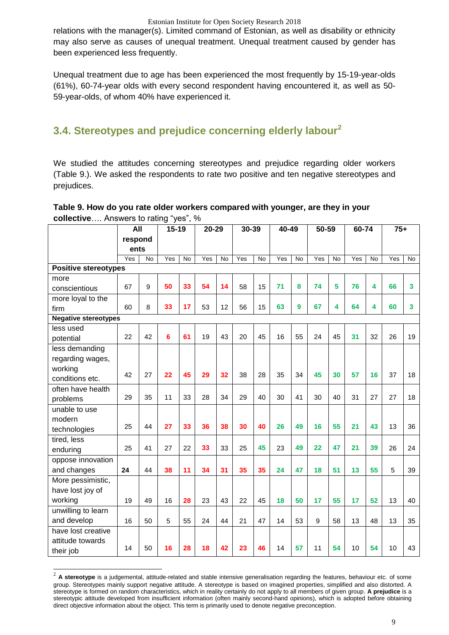relations with the manager(s). Limited command of Estonian, as well as disability or ethnicity may also serve as causes of unequal treatment. Unequal treatment caused by gender has been experienced less frequently.

Unequal treatment due to age has been experienced the most frequently by 15-19-year-olds (61%), 60-74-year olds with every second respondent having encountered it, as well as 50- 59-year-olds, of whom 40% have experienced it.

### **3.4. Stereotypes and prejudice concerning elderly labour<sup>2</sup>**

We studied the attitudes concerning stereotypes and prejudice regarding older workers (Table 9.). We asked the respondents to rate two positive and ten negative stereotypes and prejudices.

#### **Table 9. How do you rate older workers compared with younger, are they in your collective**…. Answers to rating "yes", %

|                             | <b>All</b> |                | $15 - 19$ |                | $20 - 29$<br>30-39 |                |     | $40 - 49$ |     | $50 - 59$      |     | $60 - 74$      |     |           | $75+$ |           |
|-----------------------------|------------|----------------|-----------|----------------|--------------------|----------------|-----|-----------|-----|----------------|-----|----------------|-----|-----------|-------|-----------|
|                             | respond    |                |           |                |                    |                |     |           |     |                |     |                |     |           |       |           |
|                             | ents       |                |           |                |                    |                |     |           |     |                |     |                |     |           |       |           |
|                             | Yes        | $\overline{N}$ | Yes       | $\overline{N}$ | Yes                | $\overline{N}$ | Yes | <b>No</b> | Yes | $\overline{N}$ | Yes | $\overline{N}$ | Yes | <b>No</b> | Yes   | <b>No</b> |
| <b>Positive stereotypes</b> |            |                |           |                |                    |                |     |           |     |                |     |                |     |           |       |           |
| more                        |            |                |           |                |                    |                |     |           |     |                |     |                |     |           |       |           |
| conscientious               | 67         | 9              | 50        | 33             | 54                 | 14             | 58  | 15        | 71  | 8              | 74  | 5              | 76  | 4         | 66    | 3         |
| more loyal to the           |            |                |           |                |                    |                |     |           |     |                |     |                |     |           |       |           |
| firm                        | 60         | 8              | 33        | 17             | 53                 | 12             | 56  | 15        | 63  | 9              | 67  | 4              | 64  | 4         | 60    | 3         |
| <b>Negative stereotypes</b> |            |                |           |                |                    |                |     |           |     |                |     |                |     |           |       |           |
| less used                   |            |                |           |                |                    |                |     |           |     |                |     |                |     |           |       |           |
| potential                   | 22         | 42             | 6         | 61             | 19                 | 43             | 20  | 45        | 16  | 55             | 24  | 45             | 31  | 32        | 26    | 19        |
| less demanding              |            |                |           |                |                    |                |     |           |     |                |     |                |     |           |       |           |
| regarding wages,            |            |                |           |                |                    |                |     |           |     |                |     |                |     |           |       |           |
| working                     | 42         | 27             | 22        | 45             | 29                 | 32             | 38  | 28        | 35  | 34             | 45  | 30             | 57  | 16        | 37    | 18        |
| conditions etc.             |            |                |           |                |                    |                |     |           |     |                |     |                |     |           |       |           |
| often have health           |            |                |           |                |                    |                |     |           |     |                |     |                |     |           |       |           |
| problems                    | 29         | 35             | 11        | 33             | 28                 | 34             | 29  | 40        | 30  | 41             | 30  | 40             | 31  | 27        | 27    | 18        |
| unable to use               |            |                |           |                |                    |                |     |           |     |                |     |                |     |           |       |           |
| modern                      |            |                |           |                |                    |                |     |           |     |                |     |                |     |           |       |           |
| technologies                | 25         | 44             | 27        | 33             | 36                 | 38             | 30  | 40        | 26  | 49             | 16  | 55             | 21  | 43        | 13    | 36        |
| tired, less                 |            |                |           |                |                    |                |     |           |     |                |     |                |     |           |       |           |
| enduring                    | 25         | 41             | 27        | 22             | 33                 | 33             | 25  | 45        | 23  | 49             | 22  | 47             | 21  | 39        | 26    | 24        |
| oppose innovation           |            |                |           |                |                    |                |     |           |     |                |     |                |     |           |       |           |
| and changes                 | 24         | 44             | 38        | 11             | 34                 | 31             | 35  | 35        | 24  | 47             | 18  | 51             | 13  | 55        | 5     | 39        |
| More pessimistic,           |            |                |           |                |                    |                |     |           |     |                |     |                |     |           |       |           |
| have lost joy of            |            |                |           |                |                    |                |     |           |     |                |     |                |     |           |       |           |
| working                     | 19         | 49             | 16        | 28             | 23                 | 43             | 22  | 45        | 18  | 50             | 17  | 55             | 17  | 52        | 13    | 40        |
| unwilling to learn          |            |                |           |                |                    |                |     |           |     |                |     |                |     |           |       |           |
| and develop                 | 16         | 50             | 5         | 55             | 24                 | 44             | 21  | 47        | 14  | 53             | 9   | 58             | 13  | 48        | 13    | 35        |
| have lost creative          |            |                |           |                |                    |                |     |           |     |                |     |                |     |           |       |           |
| attitude towards            |            |                |           |                |                    |                |     |           |     |                |     |                |     |           |       |           |
| their job                   | 14         | 50             | 16        | 28             | 18                 | 42             | 23  | 46        | 14  | 57             | 11  | 54             | 10  | 54        | 10    | 43        |

<sup>&</sup>lt;sup>2</sup> A stereotype is a judgemental, attitude-related and stable intensive generalisation regarding the features, behaviour etc. of some group. Stereotypes mainly support negative attitude. A stereotype is based on imagined properties, simplified and also distorted. A stereotype is formed on random characteristics, which in reality certainly do not apply to all members of given group. **A prejudice** is a stereotypic attitude developed from insufficient [information](https://et.wikipedia.org/wiki/Informatsioon) (often mainly second-hand opinions), which is adopted before obtaining direct objective information about the object. This term is primarily used to denote negative preconception.

 $\overline{a}$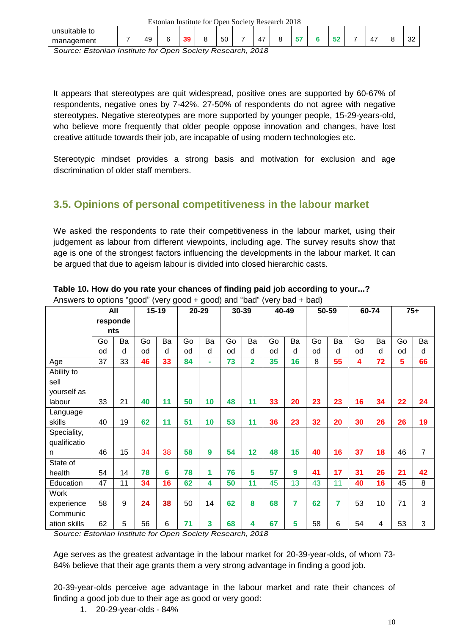| Estonian Institute for Open Society Research 2018 |  |    |        |    |  |    |  |          |  |    |     |          |              |
|---------------------------------------------------|--|----|--------|----|--|----|--|----------|--|----|-----|----------|--------------|
| unsuitable to                                     |  |    |        |    |  |    |  |          |  |    |     |          |              |
| management                                        |  | 49 | $\sim$ | 39 |  | 50 |  | . –<br>4 |  | -- | - - | . –<br>4 | $\sim$<br>ےں |

*Source: Estonian Institute for Open Society Research, 2018*

It appears that stereotypes are quit widespread, positive ones are supported by 60-67% of respondents, negative ones by 7-42%. 27-50% of respondents do not agree with negative stereotypes. Negative stereotypes are more supported by younger people, 15-29-years-old, who believe more frequently that older people oppose innovation and changes, have lost creative attitude towards their job, are incapable of using modern technologies etc.

Stereotypic mindset provides a strong basis and motivation for exclusion and age discrimination of older staff members.

### **3.5. Opinions of personal competitiveness in the labour market**

We asked the respondents to rate their competitiveness in the labour market, using their judgement as labour from different viewpoints, including age. The survey results show that age is one of the strongest factors influencing the developments in the labour market. It can be argued that due to ageism labour is divided into closed hierarchic casts.

|              | All      |    | $15-19$ |    | 20-29 |           | 30-39 |                | 40-49 |    | 50-59 |                 | 60-74 |    | $75+$ |                |
|--------------|----------|----|---------|----|-------|-----------|-------|----------------|-------|----|-------|-----------------|-------|----|-------|----------------|
|              | responde |    |         |    |       |           |       |                |       |    |       |                 |       |    |       |                |
|              | nts      |    |         |    |       |           |       |                |       |    |       |                 |       |    |       |                |
|              | Go       | Ba | Go      | Ba | Go    | Ba        | Go    | Ba             | Go    | Ba | Go    | Ba              | Go    | Ba | Go    | Ba             |
|              | od       | d  | od      | d  | od    | d         | od    | d              | od    | d  | od    | d               | od    | d  | od    | d              |
| Age          | 37       | 33 | 46      | 33 | 84    | $\bar{a}$ | 73    | $\overline{2}$ | 35    | 16 | 8     | 55              | 4     | 72 | 5     | 66             |
| Ability to   |          |    |         |    |       |           |       |                |       |    |       |                 |       |    |       |                |
| sell         |          |    |         |    |       |           |       |                |       |    |       |                 |       |    |       |                |
| yourself as  |          |    |         |    |       |           |       |                |       |    |       |                 |       |    |       |                |
| labour       | 33       | 21 | 40      | 11 | 50    | 10        | 48    | 11             | 33    | 20 | 23    | 23              | 16    | 34 | 22    | 24             |
| Language     |          |    |         |    |       |           |       |                |       |    |       |                 |       |    |       |                |
| skills       | 40       | 19 | 62      | 11 | 51    | 10        | 53    | 11             | 36    | 23 | 32    | 20              | 30    | 26 | 26    | 19             |
| Speciality,  |          |    |         |    |       |           |       |                |       |    |       |                 |       |    |       |                |
| qualificatio |          |    |         |    |       |           |       |                |       |    |       |                 |       |    |       |                |
| n            | 46       | 15 | 34      | 38 | 58    | 9         | 54    | 12             | 48    | 15 | 40    | 16              | 37    | 18 | 46    | $\overline{7}$ |
| State of     |          |    |         |    |       |           |       |                |       |    |       |                 |       |    |       |                |
| health       | 54       | 14 | 78      | 6  | 78    | 1         | 76    | 5              | 57    | 9  | 41    | 17              | 31    | 26 | 21    | 42             |
| Education    | 47       | 11 | 34      | 16 | 62    | 4         | 50    | 11             | 45    | 13 | 43    | 11              | 40    | 16 | 45    | 8              |
| <b>Work</b>  |          |    |         |    |       |           |       |                |       |    |       |                 |       |    |       |                |
| experience   | 58       | 9  | 24      | 38 | 50    | 14        | 62    | 8              | 68    | 7  | 62    | 7               | 53    | 10 | 71    | 3              |
| Communic     |          |    |         |    |       |           |       |                |       |    |       |                 |       |    |       |                |
| ation skills | 62       | 5  | 56      | 6  | 71    | 3         | 68    | 4              | 67    | 5  | 58    | $6\phantom{1}6$ | 54    | 4  | 53    | 3              |

#### **Table 10. How do you rate your chances of finding paid job according to your...?**

Answers to options "good" (very good + good) and "bad" (very bad + bad)

*Source: Estonian Institute for Open Society Research, 2018*

Age serves as the greatest advantage in the labour market for 20-39-year-olds, of whom 73- 84% believe that their age grants them a very strong advantage in finding a good job.

20-39-year-olds perceive age advantage in the labour market and rate their chances of finding a good job due to their age as good or very good:

1. 20-29-year-olds - 84%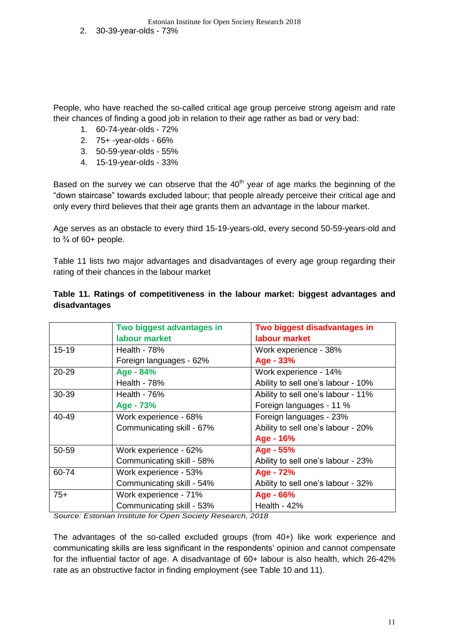People, who have reached the so-called critical age group perceive strong ageism and rate their chances of finding a good job in relation to their age rather as bad or very bad:

- 1. 60-74-year-olds 72%
- 2. 75+ -year-olds 66%
- 3. 50-59-year-olds 55%
- 4. 15-19-year-olds 33%

Based on the survey we can observe that the  $40<sup>th</sup>$  year of age marks the beginning of the "down staircase" towards excluded labour; that people already perceive their critical age and only every third believes that their age grants them an advantage in the labour market.

Age serves as an obstacle to every third 15-19-years-old, every second 50-59-years-old and to  $\frac{3}{4}$  of 60+ people.

Table 11 lists two major advantages and disadvantages of every age group regarding their rating of their chances in the labour market

|         | Two biggest advantages in | Two biggest disadvantages in       |  |  |  |  |  |
|---------|---------------------------|------------------------------------|--|--|--|--|--|
|         | labour market             | labour market                      |  |  |  |  |  |
| $15-19$ | Health - $78%$            | Work experience - 38%              |  |  |  |  |  |
|         | Foreign languages - 62%   | Age - 33%                          |  |  |  |  |  |
| 20-29   | Age - 84%                 | Work experience - 14%              |  |  |  |  |  |
|         | Health - 78%              | Ability to sell one's labour - 10% |  |  |  |  |  |
| 30-39   | Health - $76\%$           | Ability to sell one's labour - 11% |  |  |  |  |  |
|         | Age - 73%                 | Foreign languages - 11 %           |  |  |  |  |  |
| 40-49   | Work experience - 68%     | Foreign languages - 23%            |  |  |  |  |  |
|         | Communicating skill - 67% | Ability to sell one's labour - 20% |  |  |  |  |  |
|         |                           | Age - 16%                          |  |  |  |  |  |
| 50-59   | Work experience - 62%     | Age - 55%                          |  |  |  |  |  |
|         | Communicating skill - 58% | Ability to sell one's labour - 23% |  |  |  |  |  |
| 60-74   | Work experience - 53%     | Age - 72%                          |  |  |  |  |  |
|         | Communicating skill - 54% | Ability to sell one's labour - 32% |  |  |  |  |  |
| $75+$   | Work experience - 71%     | Age - 66%                          |  |  |  |  |  |
|         | Communicating skill - 53% | Health - $42%$                     |  |  |  |  |  |

#### **Table 11. Ratings of competitiveness in the labour market: biggest advantages and disadvantages**

*Source: Estonian Institute for Open Society Research, 2018*

The advantages of the so-called excluded groups (from 40+) like work experience and communicating skills are less significant in the respondents' opinion and cannot compensate for the influential factor of age. A disadvantage of 60+ labour is also health, which 26-42% rate as an obstructive factor in finding employment (see Table 10 and 11).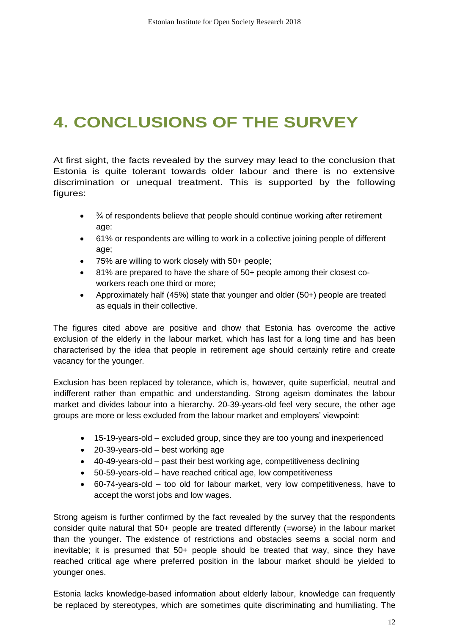# **4. CONCLUSIONS OF THE SURVEY**

At first sight, the facts revealed by the survey may lead to the conclusion that Estonia is quite tolerant towards older labour and there is no extensive discrimination or unequal treatment. This is supported by the following figures:

- $\bullet$   $\frac{3}{4}$  of respondents believe that people should continue working after retirement age:
- 61% or respondents are willing to work in a collective joining people of different age;
- 75% are willing to work closely with 50+ people;
- 81% are prepared to have the share of 50+ people among their closest coworkers reach one third or more;
- Approximately half (45%) state that younger and older (50+) people are treated as equals in their collective.

The figures cited above are positive and dhow that Estonia has overcome the active exclusion of the elderly in the labour market, which has last for a long time and has been characterised by the idea that people in retirement age should certainly retire and create vacancy for the younger.

Exclusion has been replaced by tolerance, which is, however, quite superficial, neutral and indifferent rather than empathic and understanding. Strong ageism dominates the labour market and divides labour into a hierarchy. 20-39-years-old feel very secure, the other age groups are more or less excluded from the labour market and employers' viewpoint:

- 15-19-years-old excluded group, since they are too young and inexperienced
- 20-39-years-old best working age
- 40-49-years-old past their best working age, competitiveness declining
- 50-59-years-old have reached critical age, low competitiveness
- 60-74-years-old too old for labour market, very low competitiveness, have to accept the worst jobs and low wages.

Strong ageism is further confirmed by the fact revealed by the survey that the respondents consider quite natural that 50+ people are treated differently (=worse) in the labour market than the younger. The existence of restrictions and obstacles seems a social norm and inevitable; it is presumed that 50+ people should be treated that way, since they have reached critical age where preferred position in the labour market should be yielded to younger ones.

Estonia lacks knowledge-based information about elderly labour, knowledge can frequently be replaced by stereotypes, which are sometimes quite discriminating and humiliating. The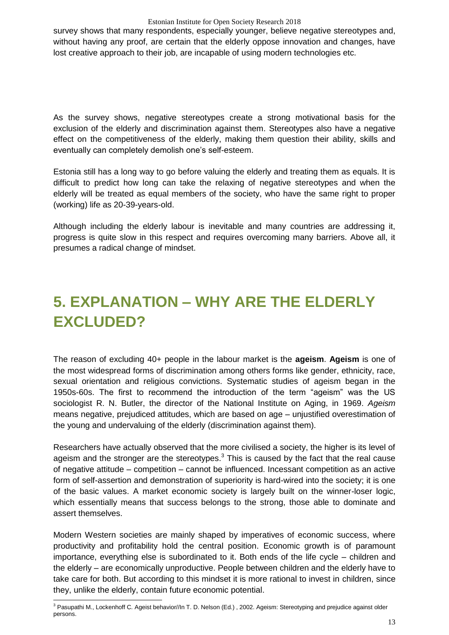survey shows that many respondents, especially younger, believe negative stereotypes and, without having any proof, are certain that the elderly oppose innovation and changes, have lost creative approach to their job, are incapable of using modern technologies etc.

As the survey shows, negative stereotypes create a strong motivational basis for the exclusion of the elderly and discrimination against them. Stereotypes also have a negative effect on the competitiveness of the elderly, making them question their ability, skills and eventually can completely demolish one's self-esteem.

Estonia still has a long way to go before valuing the elderly and treating them as equals. It is difficult to predict how long can take the relaxing of negative stereotypes and when the elderly will be treated as equal members of the society, who have the same right to proper (working) life as 20-39-years-old.

Although including the elderly labour is inevitable and many countries are addressing it, progress is quite slow in this respect and requires overcoming many barriers. Above all, it presumes a radical change of mindset.

# **5. EXPLANATION – WHY ARE THE ELDERLY EXCLUDED?**

The reason of excluding 40+ people in the labour market is the **ageism**. **Ageism** is one of the most widespread forms of discrimination among others forms like gender, ethnicity, race, sexual orientation and religious convictions. Systematic studies of ageism began in the 1950s-60s. The first to recommend the introduction of the term "ageism" was the US sociologist R. N. Butler, the director of the National Institute on Aging, in 1969. *Ageism*  means negative, prejudiced attitudes, which are based on age – unjustified overestimation of the young and undervaluing of the elderly (discrimination against them).

Researchers have actually observed that the more civilised a society, the higher is its level of ageism and the stronger are the stereotypes. $3$  This is caused by the fact that the real cause of negative attitude – competition – cannot be influenced. Incessant competition as an active form of self-assertion and demonstration of superiority is hard-wired into the society; it is one of the basic values. A market economic society is largely built on the winner-loser logic, which essentially means that success belongs to the strong, those able to dominate and assert themselves.

Modern Western societies are mainly shaped by imperatives of economic success, where productivity and profitability hold the central position. Economic growth is of paramount importance, everything else is subordinated to it. Both ends of the life cycle – children and the elderly – are economically unproductive. People between children and the elderly have to take care for both. But according to this mindset it is more rational to invest in children, since they, unlike the elderly, contain future economic potential.

<sup>-</sup><sup>3</sup> Pasupathi M., Lockenhoff C*.* Ageist behavior//In T. D. Nelson (Ed.) , 2002. Ageism: Stereotyping and prejudice against older persons.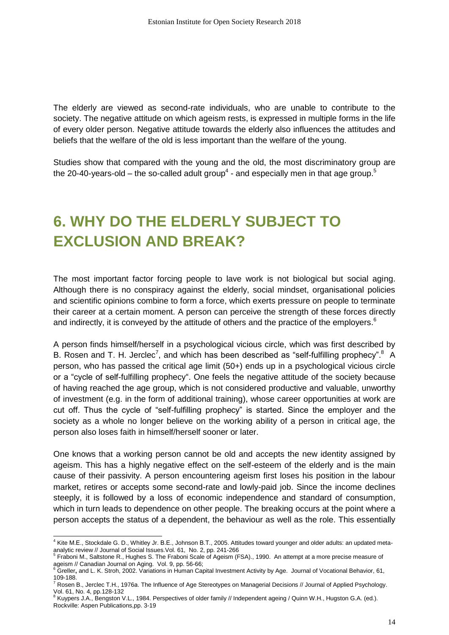The elderly are viewed as second-rate individuals, who are unable to contribute to the society. The negative attitude on which ageism rests, is expressed in multiple forms in the life of every older person. Negative attitude towards the elderly also influences the attitudes and beliefs that the welfare of the old is less important than the welfare of the young.

Studies show that compared with the young and the old, the most discriminatory group are the 20-40-years-old – the so-called adult group<sup>4</sup> - and especially men in that age group.<sup>5</sup>

# **6. WHY DO THE ELDERLY SUBJECT TO EXCLUSION AND BREAK?**

The most important factor forcing people to lave work is not biological but social aging. Although there is no conspiracy against the elderly, social mindset, organisational policies and scientific opinions combine to form a force, which exerts pressure on people to terminate their career at a certain moment. A person can perceive the strength of these forces directly and indirectly, it is conveyed by the attitude of others and the practice of the employers.<sup>6</sup>

A person finds himself/herself in a psychological vicious circle, which was first described by B. Rosen and T. H. Jerclec<sup>7</sup>, and which has been described as "self-fulfilling prophecy".<sup>8</sup> A person, who has passed the critical age limit (50+) ends up in a psychological vicious circle or a "cycle of self-fulfilling prophecy". One feels the negative attitude of the society because of having reached the age group, which is not considered productive and valuable, unworthy of investment (e.g. in the form of additional training), whose career opportunities at work are cut off. Thus the cycle of "self-fulfilling prophecy" is started. Since the employer and the society as a whole no longer believe on the working ability of a person in critical age, the person also loses faith in himself/herself sooner or later.

One knows that a working person cannot be old and accepts the new identity assigned by ageism. This has a highly negative effect on the self-esteem of the elderly and is the main cause of their passivity. A person encountering ageism first loses his position in the labour market, retires or accepts some second-rate and lowly-paid job. Since the income declines steeply, it is followed by a loss of economic independence and standard of consumption, which in turn leads to dependence on other people. The breaking occurs at the point where a person accepts the status of a dependent, the behaviour as well as the role. This essentially

<sup>-</sup><sup>4</sup> Kite М.Е., Stockdale G. D., Whitley Jr. В.Е., Johnson В.Т., 2005. Attitudes toward younger and older adults: an updated metaanalytic review // Journal of Social Issues.Vol. 61, No. 2, pp. 241-266

<sup>5</sup> Fraboni M., Saltstone R., Hughes S. The Fraboni Scale of Ageism (FSA)., 1990. An attempt at a more precise measure of ageism // Canadian Journal on Aging. Vol. 9, pp. 56-66;<br><sup>6</sup> Greller, and L. K. Stroh, 2002. Variations in Human Capital Investment Activity by Age. Journal of Vocational Behavior, 61,

<sup>109-188.&</sup>lt;br><sup>7</sup> Rosen B., Jerclec T.H., 1976a. The Influence of Age Stereotypes on Managerial Decisions // Journal of Applied Psychology.

Vol. 61, No. 4, рр.128-132

<sup>8</sup> Kuypers J.A., Bengston V.L., 1984. Perspectives of older family // Independent ageing / Quinn W.H., Hugston G.A. (ed.). Rockville: Aspen Publications,pр. 3-19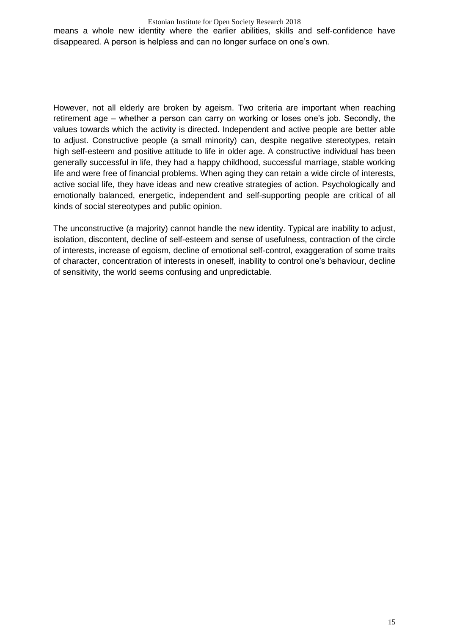#### Estonian Institute for Open Society Research 2018

means a whole new identity where the earlier abilities, skills and self-confidence have disappeared. A person is helpless and can no longer surface on one's own.

However, not all elderly are broken by ageism. Two criteria are important when reaching retirement age – whether a person can carry on working or loses one's job. Secondly, the values towards which the activity is directed. Independent and active people are better able to adjust. Constructive people (a small minority) can, despite negative stereotypes, retain high self-esteem and positive attitude to life in older age. A constructive individual has been generally successful in life, they had a happy childhood, successful marriage, stable working life and were free of financial problems. When aging they can retain a wide circle of interests, active social life, they have ideas and new creative strategies of action. Psychologically and emotionally balanced, energetic, independent and self-supporting people are critical of all kinds of social stereotypes and public opinion.

The unconstructive (a majority) cannot handle the new identity. Typical are inability to adjust, isolation, discontent, decline of self-esteem and sense of usefulness, contraction of the circle of interests, increase of egoism, decline of emotional self-control, exaggeration of some traits of character, concentration of interests in oneself, inability to control one's behaviour, decline of sensitivity, the world seems confusing and unpredictable.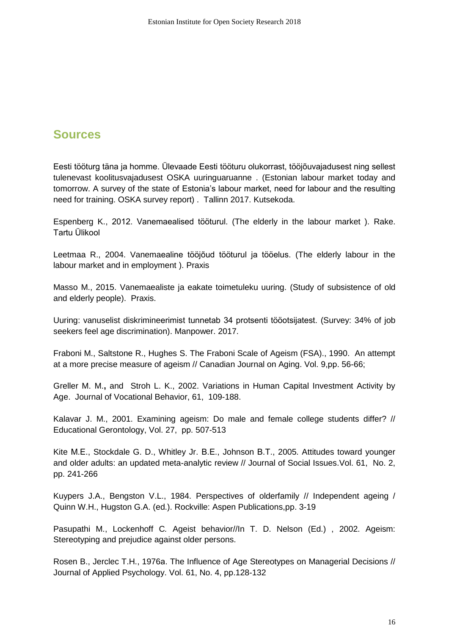### **Sources**

Eesti tööturg täna ja homme. Ülevaade Eesti tööturu olukorrast, tööjõuvajadusest ning sellest tulenevast koolitusvajadusest OSKA uuringuaruanne . (Estonian labour market today and tomorrow. A survey of the state of Estonia's labour market, need for labour and the resulting need for training. OSKA survey report) . Tallinn 2017. Kutsekoda.

Espenberg K., 2012. Vanemaealised tööturul. (The elderly in the labour market ). Rake. Tartu Ülikool

Leetmaa R., 2004. Vanemaealine tööjõud tööturul ja tööelus. (The elderly labour in the labour market and in employment ). Praxis

Masso M., 2015. Vanemaealiste ja eakate toimetuleku uuring. (Study of subsistence of old and elderly people). Praxis.

Uuring: vanuselist diskrimineerimist tunnetab 34 protsenti tööotsijatest. (Survey: 34% of job seekers feel age discrimination). Manpower. 2017.

Fraboni M., Saltstone R., Hughes S. The Fraboni Scale of Ageism (FSA)., 1990. An attempt at a more precise measure of ageism // Canadian Journal on Aging. Vol. 9,рр. 56-66;

Greller M. M.**,** and Stroh L. K., 2002. Variations in Human Capital Investment Activity by Age. Journal of Vocational Behavior, 61, 109-188.

Kalavar J. M., 2001. Examining ageism: Do male and female college students differ? // Educational Gerontologу, Vol. 27, рр. 507-513

Kite М.Е., Stockdale G. D., Whitley Jr. В.Е., Johnson В.Т., 2005. Attitudes toward younger and older adults: an updated meta-analytic review // Journal of Social Issues.Vol. 61, No. 2, pp. 241-266

Kuypers J.A., Bengston V.L., 1984. Perspectives of olderfamily // Independent ageing / Quinn W.H., Hugston G.A. (ed.). Rockville: Aspen Publications,pр. 3-19

Pasupathi M., Lockenhoff C*.* Ageist behavior//In T. D. Nelson (Ed.) , 2002. Ageism: Stereotyping and prejudice against older persons.

Rosen B., Jerclec T.H., 1976а. The Influence of Age Stereotypes on Managerial Decisions // Journal of Applied Psychology. Vol. 61, No. 4, рр.128-132